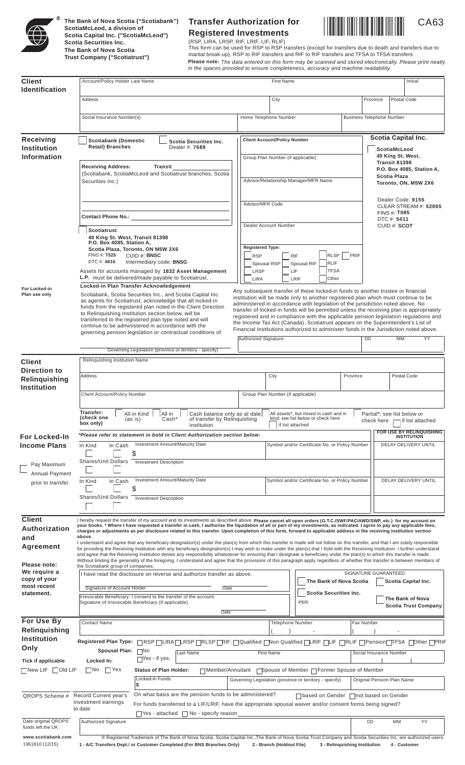

**The Bank of Nova Scotia ("Scotiabank") ScotiaMcLeod, a division of Scotia Capital Inc. ("ScotiaMcLeod") Scotia Securities Inc. The Bank of Nova Scotia Trust Company ("Scotiatrust")**

# **Transfer Authorization for** CA63 **Registered Investments**



(RSP, LIRA, LRSP, RIF, LRIF, LIF, RLIF) This form can be used for RSP to RSP transfers (except for transfers due to death and transfers due to marital break-up), RSP to RIF transfers and RIF to RIF transfers and TFSA to TFSA transfers. **Please note:** *The data entered on this form may be scanned and stored electronically. Please print neatly in the spaces provided to ensure completeness, accuracy and machine readability.*

| <b>Client</b>                                                             | Account/Policy Holder Last Name                                                                                                                                                                                                                                                                                                                                                                                                                                                                                                                                                                                                                                                                                                        | <b>First Name</b>                                                                                                                                                                                                                                                                                                                                                                                                                                                                                                                                                                                                                                   | Initial                                                                   |  |
|---------------------------------------------------------------------------|----------------------------------------------------------------------------------------------------------------------------------------------------------------------------------------------------------------------------------------------------------------------------------------------------------------------------------------------------------------------------------------------------------------------------------------------------------------------------------------------------------------------------------------------------------------------------------------------------------------------------------------------------------------------------------------------------------------------------------------|-----------------------------------------------------------------------------------------------------------------------------------------------------------------------------------------------------------------------------------------------------------------------------------------------------------------------------------------------------------------------------------------------------------------------------------------------------------------------------------------------------------------------------------------------------------------------------------------------------------------------------------------------------|---------------------------------------------------------------------------|--|
| <b>Identification</b>                                                     | Address                                                                                                                                                                                                                                                                                                                                                                                                                                                                                                                                                                                                                                                                                                                                | City                                                                                                                                                                                                                                                                                                                                                                                                                                                                                                                                                                                                                                                | Postal Code<br>Province                                                   |  |
|                                                                           |                                                                                                                                                                                                                                                                                                                                                                                                                                                                                                                                                                                                                                                                                                                                        |                                                                                                                                                                                                                                                                                                                                                                                                                                                                                                                                                                                                                                                     |                                                                           |  |
|                                                                           | Social Insurance Number(s)                                                                                                                                                                                                                                                                                                                                                                                                                                                                                                                                                                                                                                                                                                             | Home Telephone Number                                                                                                                                                                                                                                                                                                                                                                                                                                                                                                                                                                                                                               | <b>Business Telephone Number</b>                                          |  |
| <b>Receiving</b>                                                          | <b>Scotiabank (Domestic</b><br>Scotia Securities Inc.                                                                                                                                                                                                                                                                                                                                                                                                                                                                                                                                                                                                                                                                                  | <b>Client Account/Policy Number</b>                                                                                                                                                                                                                                                                                                                                                                                                                                                                                                                                                                                                                 | <b>Scotia Capital Inc.</b>                                                |  |
| <b>Institution</b><br><b>Information</b>                                  | <b>Retail) Branches</b><br>Dealer #: 7689                                                                                                                                                                                                                                                                                                                                                                                                                                                                                                                                                                                                                                                                                              | Group Plan Number (if applicable)                                                                                                                                                                                                                                                                                                                                                                                                                                                                                                                                                                                                                   | ScotiaMcLeod<br>40 King St. West,<br>Transit 81398                        |  |
|                                                                           | <b>Receiving Address:</b><br>Transit<br>(Scotiabank, ScotiaMcLeod and Scotiatrust branches, Scotia<br>Securities Inc.)                                                                                                                                                                                                                                                                                                                                                                                                                                                                                                                                                                                                                 | Advisor/Relationship Manager/MFR Name                                                                                                                                                                                                                                                                                                                                                                                                                                                                                                                                                                                                               | P.O. Box 4085, Station A,<br><b>Scotia Plaza</b><br>Toronto, ON, M5W 2X6  |  |
|                                                                           | <b>Contact Phone No.:</b> Contact Phone No.:                                                                                                                                                                                                                                                                                                                                                                                                                                                                                                                                                                                                                                                                                           | Advisor/MFR Code                                                                                                                                                                                                                                                                                                                                                                                                                                                                                                                                                                                                                                    | Dealer Code: 9155<br>CLEAR STREAM #: 52065<br>FINS #: T085<br>DTC #: 5011 |  |
|                                                                           | <b>Scotiatrust</b><br>40 King St. West, Transit 81398<br>P.O. Box 4085, Station A,<br>Scotia Plaza, Toronto, ON M5W 2X6<br>FINS #: <b>T525</b><br>CUID #: BNSC<br>DTC #: 4816<br>Intermediary code: BNSG                                                                                                                                                                                                                                                                                                                                                                                                                                                                                                                               | Dealer Account Number<br><b>Registered Type:</b><br>RLSP<br><b>RSP</b><br><b>RIF</b><br>RLIF<br>Spousal RSP<br>Spousal RIF                                                                                                                                                                                                                                                                                                                                                                                                                                                                                                                          | CUID #: SCOT<br>PRIF                                                      |  |
|                                                                           | Assets for accounts managed by 1832 Asset Management<br>L.P. must be delivered/made payable to Scotiatrust.                                                                                                                                                                                                                                                                                                                                                                                                                                                                                                                                                                                                                            | <b>TFSA</b><br>LRSP<br>LIF<br>Other<br><b>LIRA</b><br>LRIF                                                                                                                                                                                                                                                                                                                                                                                                                                                                                                                                                                                          |                                                                           |  |
| For Locked-in<br>Plan use only                                            | Locked-in Plan Transfer Acknowledgement<br>Scotiabank, Scotia Securities Inc., and Scotia Capital Inc.<br>as agents for Scotiatrust, acknowledge that all locked-in<br>funds from the registered plan noted in the Client Direction<br>to Relinquishing Institution section below, will be<br>transferred to the registered plan type noted and will<br>continue to be administered in accordance with the<br>governing pension legislation or contractual conditions of                                                                                                                                                                                                                                                               | Any subsequent transfer of these locked-in funds to another trustee or financial<br>institution will be made only to another registered plan which must continue to be<br>administered in accordance with legislation of the jurisdiction noted above. No<br>transfer of locked-in funds will be permitted unless the receiving plan is appropriately<br>registered and in compliance with the applicable pension legislation regulations and<br>the Income Tax Act (Canada). Scotiatrust appears on the Superintendent's List of<br>Financial Institutions authorized to administer funds in the Jurisdiction noted above.<br>Authorized Signature | DD<br>MM<br>YY                                                            |  |
|                                                                           | Governing Legislation (province or territory - specify)                                                                                                                                                                                                                                                                                                                                                                                                                                                                                                                                                                                                                                                                                |                                                                                                                                                                                                                                                                                                                                                                                                                                                                                                                                                                                                                                                     |                                                                           |  |
| <b>Client</b><br>Direction to<br>Relinquishing<br><b>Institution</b>      | Relinquishing Institution Name<br>Address<br>Client Account/Policy Number                                                                                                                                                                                                                                                                                                                                                                                                                                                                                                                                                                                                                                                              | City<br>Group Plan Number (if applicable)                                                                                                                                                                                                                                                                                                                                                                                                                                                                                                                                                                                                           | Province<br>Postal Code                                                   |  |
|                                                                           | Transfer:<br>All in Kind<br>All assets*, but mixed in cash and in<br>Partial*: see list below or<br>All in<br>Cash balance only as at date<br>(cneck one<br>Cash'<br>of transfer by Relinquishing<br>kind; see list below or check here<br>(as is)<br>check here<br>if list attached<br>box only)<br>if list attached<br>Institution                                                                                                                                                                                                                                                                                                                                                                                                   |                                                                                                                                                                                                                                                                                                                                                                                                                                                                                                                                                                                                                                                     |                                                                           |  |
| <b>For Locked-In</b><br><b>Income Plans</b>                               | FOR USE BY RELINQUISHING<br>*Please refer to statement in bold in Client Authorization section below:<br><b>INSTITUTION</b><br><b>Investment Amount/Maturity Date</b><br>Symbol and/or Certificate No. or Policy Number<br>DELAY DELIVERY UNTIL<br>In Kind<br>In Cash<br>\$                                                                                                                                                                                                                                                                                                                                                                                                                                                            |                                                                                                                                                                                                                                                                                                                                                                                                                                                                                                                                                                                                                                                     |                                                                           |  |
| Pay Maximum<br>Annual Payment                                             | <b>Shares/Unit Dollars</b><br><b>Investment Description</b>                                                                                                                                                                                                                                                                                                                                                                                                                                                                                                                                                                                                                                                                            |                                                                                                                                                                                                                                                                                                                                                                                                                                                                                                                                                                                                                                                     |                                                                           |  |
| prior to transfer                                                         | <b>Investment Amount/Maturity Date</b><br>In Kind<br>In Cash<br>\$<br><b>Shares/Unit Dollars</b><br><b>Investment Description</b>                                                                                                                                                                                                                                                                                                                                                                                                                                                                                                                                                                                                      | Symbol and/or Certificate No. or Policy Number                                                                                                                                                                                                                                                                                                                                                                                                                                                                                                                                                                                                      | <b>DELAY DELIVERY UNTIL</b>                                               |  |
|                                                                           |                                                                                                                                                                                                                                                                                                                                                                                                                                                                                                                                                                                                                                                                                                                                        |                                                                                                                                                                                                                                                                                                                                                                                                                                                                                                                                                                                                                                                     |                                                                           |  |
| <b>Client</b><br><b>Authorization</b><br>and                              | I hereby request the transfer of my account and its investments as described above. Please cancel all open orders (G.T.C./SWF/PAC/AWD/SWP, etc.) for my account on<br>your books. * Where I have requested a transfer in cash, I authorize the liquidation of all or part of my investments, as indicated. I agree to pay any applicable fees,<br>charges or adjustments as per disclosure related to this transfer. Upon completion of this form, forward to applicable address in the receiving institution section<br>above.                                                                                                                                                                                                        |                                                                                                                                                                                                                                                                                                                                                                                                                                                                                                                                                                                                                                                     |                                                                           |  |
| Agreement                                                                 | I understand and agree that any beneficiary designation(s) under the plan(s) from which this transfer is made will not follow on this transfer, and that I am solely responsible<br>for providing the Receiving Institution with any beneficiary designation(s) I may wish to make under the plan(s) that I hold with the Receiving Institution. I further understand<br>and agree that the Receiving Institution denies any responsibility whatsoever for ensuring that I designate a beneficiary under the plan(s) to which this transfer is made.<br>Without limiting the generality of the foregoing, I understand and agree that the provisions of this paragraph apply regardless of whether this transfer is between members of |                                                                                                                                                                                                                                                                                                                                                                                                                                                                                                                                                                                                                                                     |                                                                           |  |
| Please note:<br>We require a<br>copy of your<br>most recent<br>statement. | the Scotiabank group of companies.<br>I have read the disclosure on reverse and authorize transfer as above.<br>Signature of Account Holder                                                                                                                                                                                                                                                                                                                                                                                                                                                                                                                                                                                            | The Bank of Nova Scotia<br>Date<br>Scotia Securities Inc.                                                                                                                                                                                                                                                                                                                                                                                                                                                                                                                                                                                           | SIGNATURE GUARANTEED<br>Scotia Capital Inc.                               |  |
|                                                                           | Irrevocable Beneficiary: I consent to the transfer of the account.<br>Signature of Irrevocable Beneficiary (if applicable)                                                                                                                                                                                                                                                                                                                                                                                                                                                                                                                                                                                                             | PER:<br>Date                                                                                                                                                                                                                                                                                                                                                                                                                                                                                                                                                                                                                                        | The Bank of Nova<br><b>Scotia Trust Company</b>                           |  |
| For Use By                                                                | <b>Contact Name</b>                                                                                                                                                                                                                                                                                                                                                                                                                                                                                                                                                                                                                                                                                                                    | <b>Telephone Number</b>                                                                                                                                                                                                                                                                                                                                                                                                                                                                                                                                                                                                                             | Fax Number                                                                |  |
| Relinquishing<br>Institution                                              |                                                                                                                                                                                                                                                                                                                                                                                                                                                                                                                                                                                                                                                                                                                                        |                                                                                                                                                                                                                                                                                                                                                                                                                                                                                                                                                                                                                                                     |                                                                           |  |
| Only                                                                      | Spousal Plan: No                                                                                                                                                                                                                                                                                                                                                                                                                                                                                                                                                                                                                                                                                                                       |                                                                                                                                                                                                                                                                                                                                                                                                                                                                                                                                                                                                                                                     |                                                                           |  |
| <b>Tick if applicable</b>                                                 | Last Name<br>Yes - if yes:<br>Locked In:                                                                                                                                                                                                                                                                                                                                                                                                                                                                                                                                                                                                                                                                                               | <b>First Name</b>                                                                                                                                                                                                                                                                                                                                                                                                                                                                                                                                                                                                                                   | Social Insurance Number                                                   |  |
| $\Box$ New LIF $\Box$ Old LIF                                             | No<br>  Yes<br><b>Status of Plan Holder:</b><br>Locked-In Funds                                                                                                                                                                                                                                                                                                                                                                                                                                                                                                                                                                                                                                                                        | ■Member/Annuitant ■ Spouse of Member ■ Former Spouse of Member<br>Governing Legislation (province or territory - specify)                                                                                                                                                                                                                                                                                                                                                                                                                                                                                                                           | Original Pension Plan Name                                                |  |
| QROPS Scheme #                                                            | \$<br>On what basis are the pension funds to be administered?<br>Record Current year's<br>investment earnings<br>to date                                                                                                                                                                                                                                                                                                                                                                                                                                                                                                                                                                                                               | For funds transferred to a LIF/LRIF, have the appropriate spousal waiver and/or consent forms being signed?                                                                                                                                                                                                                                                                                                                                                                                                                                                                                                                                         | □based on Gender □not based on Gender                                     |  |
| Date original QROPS<br>funds left the UK                                  | $\Box$ Yes - attached $\Box$ No - specify reason<br>Authorized Signature                                                                                                                                                                                                                                                                                                                                                                                                                                                                                                                                                                                                                                                               |                                                                                                                                                                                                                                                                                                                                                                                                                                                                                                                                                                                                                                                     | <b>DD</b><br>MM<br><b>YY</b>                                              |  |
| www.scotiabank.com                                                        | ® Registered Trademark of The Bank of Nova Scotia. Scotia Capital Inc., The Bank of Nova Scotia Trust Company and Scotia Securities Inc. are authorized users.                                                                                                                                                                                                                                                                                                                                                                                                                                                                                                                                                                         |                                                                                                                                                                                                                                                                                                                                                                                                                                                                                                                                                                                                                                                     |                                                                           |  |

1961810 (12/15) **1 - A/C Transfers Dept./ or Customer Completed (For BNS Branches Only) 2 - Branch (Holdout File) 3 - Relinquishing Institution 4 - Customer**